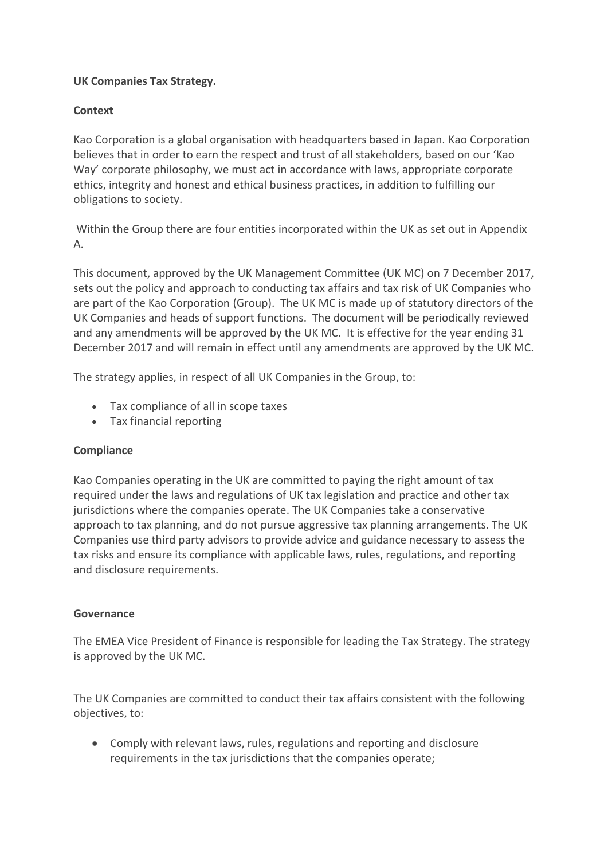## **UK Companies Tax Strategy.**

### **Context**

Kao Corporation is a global organisation with headquarters based in Japan. Kao Corporation believes that in order to earn the respect and trust of all stakeholders, based on our 'Kao Way' corporate philosophy, we must act in accordance with laws, appropriate corporate ethics, integrity and honest and ethical business practices, in addition to fulfilling our obligations to society.

Within the Group there are four entities incorporated within the UK as set out in Appendix A.

This document, approved by the UK Management Committee (UK MC) on 7 December 2017, sets out the policy and approach to conducting tax affairs and tax risk of UK Companies who are part of the Kao Corporation (Group). The UK MC is made up of statutory directors of the UK Companies and heads of support functions. The document will be periodically reviewed and any amendments will be approved by the UK MC. It is effective for the year ending 31 December 2017 and will remain in effect until any amendments are approved by the UK MC.

The strategy applies, in respect of all UK Companies in the Group, to:

- Tax compliance of all in scope taxes
- Tax financial reporting

#### **Compliance**

Kao Companies operating in the UK are committed to paying the right amount of tax required under the laws and regulations of UK tax legislation and practice and other tax jurisdictions where the companies operate. The UK Companies take a conservative approach to tax planning, and do not pursue aggressive tax planning arrangements. The UK Companies use third party advisors to provide advice and guidance necessary to assess the tax risks and ensure its compliance with applicable laws, rules, regulations, and reporting and disclosure requirements.

#### **Governance**

The EMEA Vice President of Finance is responsible for leading the Tax Strategy. The strategy is approved by the UK MC.

The UK Companies are committed to conduct their tax affairs consistent with the following objectives, to:

 Comply with relevant laws, rules, regulations and reporting and disclosure requirements in the tax jurisdictions that the companies operate;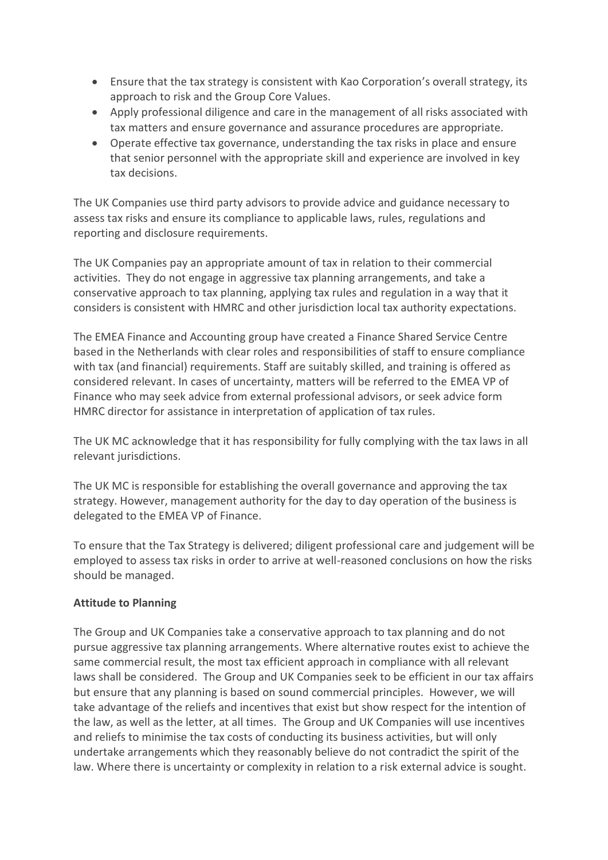- Ensure that the tax strategy is consistent with Kao Corporation's overall strategy, its approach to risk and the Group Core Values.
- Apply professional diligence and care in the management of all risks associated with tax matters and ensure governance and assurance procedures are appropriate.
- Operate effective tax governance, understanding the tax risks in place and ensure that senior personnel with the appropriate skill and experience are involved in key tax decisions.

The UK Companies use third party advisors to provide advice and guidance necessary to assess tax risks and ensure its compliance to applicable laws, rules, regulations and reporting and disclosure requirements.

The UK Companies pay an appropriate amount of tax in relation to their commercial activities. They do not engage in aggressive tax planning arrangements, and take a conservative approach to tax planning, applying tax rules and regulation in a way that it considers is consistent with HMRC and other jurisdiction local tax authority expectations.

The EMEA Finance and Accounting group have created a Finance Shared Service Centre based in the Netherlands with clear roles and responsibilities of staff to ensure compliance with tax (and financial) requirements. Staff are suitably skilled, and training is offered as considered relevant. In cases of uncertainty, matters will be referred to the EMEA VP of Finance who may seek advice from external professional advisors, or seek advice form HMRC director for assistance in interpretation of application of tax rules.

The UK MC acknowledge that it has responsibility for fully complying with the tax laws in all relevant jurisdictions.

The UK MC is responsible for establishing the overall governance and approving the tax strategy. However, management authority for the day to day operation of the business is delegated to the EMEA VP of Finance.

To ensure that the Tax Strategy is delivered; diligent professional care and judgement will be employed to assess tax risks in order to arrive at well-reasoned conclusions on how the risks should be managed.

## **Attitude to Planning**

The Group and UK Companies take a conservative approach to tax planning and do not pursue aggressive tax planning arrangements. Where alternative routes exist to achieve the same commercial result, the most tax efficient approach in compliance with all relevant laws shall be considered. The Group and UK Companies seek to be efficient in our tax affairs but ensure that any planning is based on sound commercial principles. However, we will take advantage of the reliefs and incentives that exist but show respect for the intention of the law, as well as the letter, at all times. The Group and UK Companies will use incentives and reliefs to minimise the tax costs of conducting its business activities, but will only undertake arrangements which they reasonably believe do not contradict the spirit of the law. Where there is uncertainty or complexity in relation to a risk external advice is sought.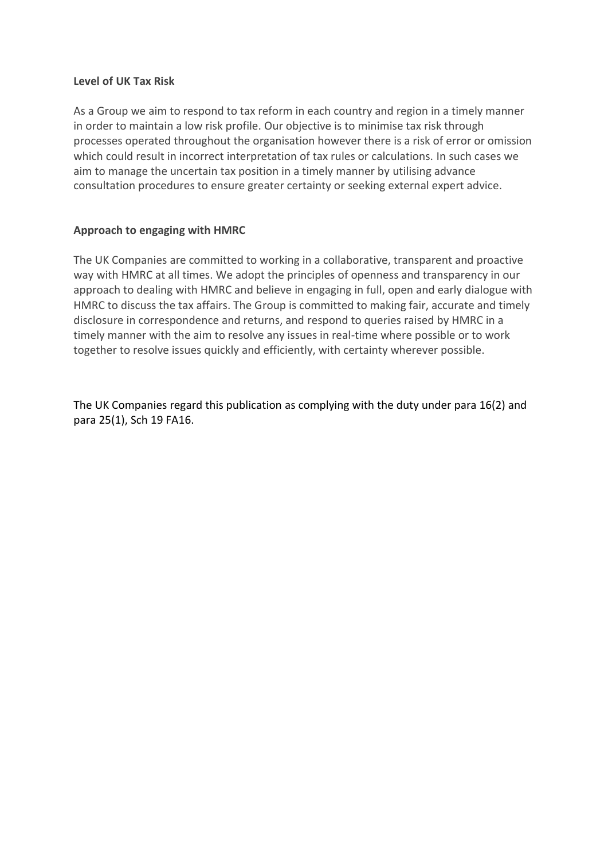#### **Level of UK Tax Risk**

As a Group we aim to respond to tax reform in each country and region in a timely manner in order to maintain a low risk profile. Our objective is to minimise tax risk through processes operated throughout the organisation however there is a risk of error or omission which could result in incorrect interpretation of tax rules or calculations. In such cases we aim to manage the uncertain tax position in a timely manner by utilising advance consultation procedures to ensure greater certainty or seeking external expert advice.

## **Approach to engaging with HMRC**

The UK Companies are committed to working in a collaborative, transparent and proactive way with HMRC at all times. We adopt the principles of openness and transparency in our approach to dealing with HMRC and believe in engaging in full, open and early dialogue with HMRC to discuss the tax affairs. The Group is committed to making fair, accurate and timely disclosure in correspondence and returns, and respond to queries raised by HMRC in a timely manner with the aim to resolve any issues in real-time where possible or to work together to resolve issues quickly and efficiently, with certainty wherever possible.

The UK Companies regard this publication as complying with the duty under para 16(2) and para 25(1), Sch 19 FA16.